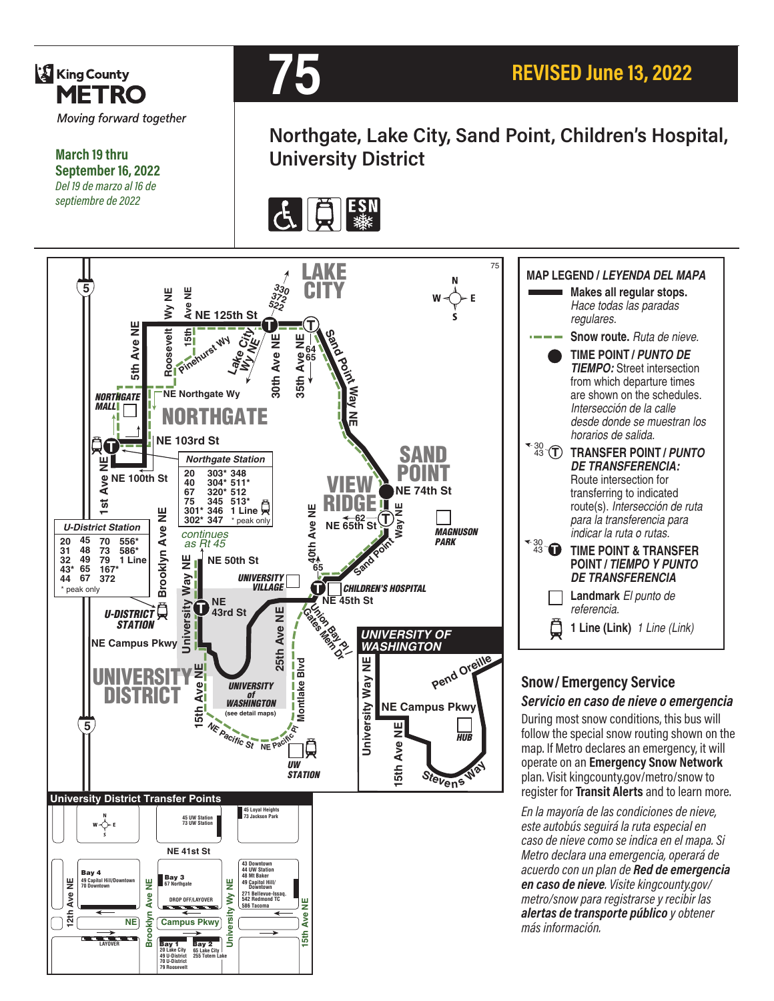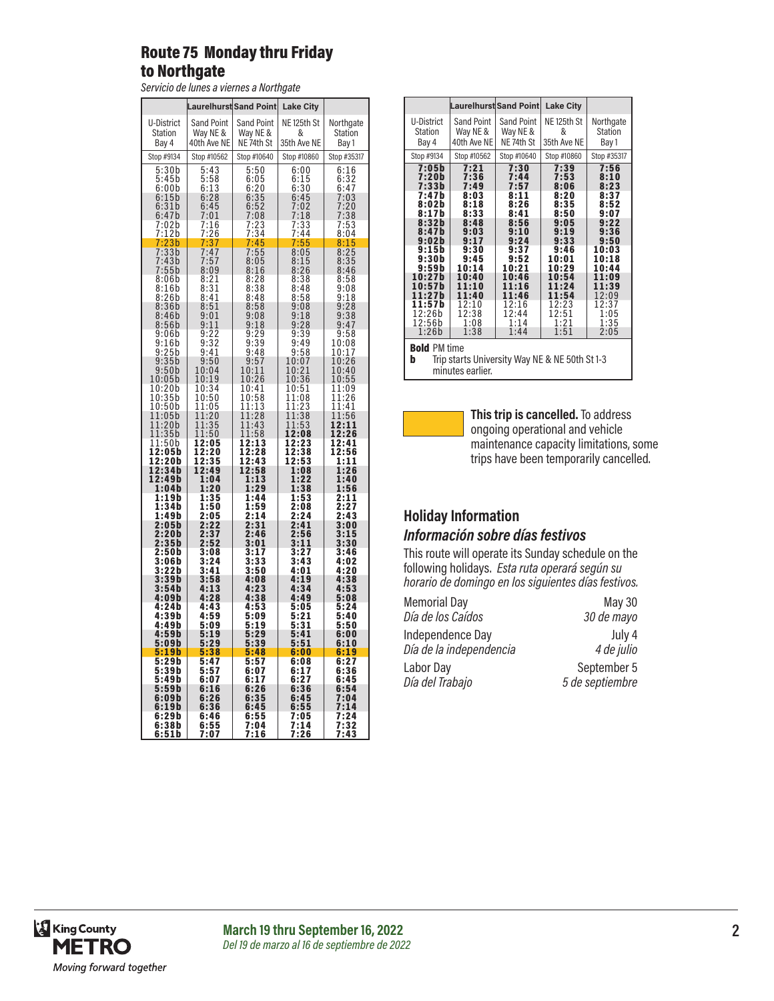#### Route 75 Monday thru Friday to Northgate

*Servicio de lunes a viernes a Northgate*

|                                                                                                                                                                                                                                                                                                                                                                                                              | <b>Laurelhurst Sand Point</b>                                             |                                                     | <b>Lake City</b>                                                             |                                                         |
|--------------------------------------------------------------------------------------------------------------------------------------------------------------------------------------------------------------------------------------------------------------------------------------------------------------------------------------------------------------------------------------------------------------|---------------------------------------------------------------------------|-----------------------------------------------------|------------------------------------------------------------------------------|---------------------------------------------------------|
| U-District<br>Station                                                                                                                                                                                                                                                                                                                                                                                        | <b>Sand Point</b><br>Way NE &<br>40th Ave NE                              | Sand Point<br>Way NE &<br>NE 74th St                | NE 125th St<br>&<br>35th Ave NE                                              | Northgate<br>Station                                    |
| Bay 4<br>Stop #9134                                                                                                                                                                                                                                                                                                                                                                                          | Stop #10562                                                               | Stop #10640                                         | Stop #10860                                                                  | Bay 1<br>Stop #35317                                    |
| 5:30b<br>5:45b                                                                                                                                                                                                                                                                                                                                                                                               | 5:43                                                                      |                                                     | 6:00                                                                         | 6:16                                                    |
| 6:00b<br>$6:15b$<br>$6:31b$<br>$6:47b$                                                                                                                                                                                                                                                                                                                                                                       | $5:58$<br>$6:13$<br>$6:28$<br>6:45                                        |                                                     | 6:15<br>6:30<br>6:45<br>6:45<br>7:02<br>7:18<br>7:33<br>7:44<br>7:55<br>8:05 | 6:32<br>6:47<br>7:03<br>7:20<br>7:38<br>7:53<br>8:04    |
| 0.47<br>7:02b<br>7:12b<br>7:33b<br>7:33b                                                                                                                                                                                                                                                                                                                                                                     | 7:01<br>$\frac{16}{26}$<br>$\frac{26}{37}$<br>$\frac{47}{27}$<br>7<br>ļ   |                                                     |                                                                              |                                                         |
|                                                                                                                                                                                                                                                                                                                                                                                                              | 7<br>7                                                                    |                                                     |                                                                              | $\frac{8:15}{8:25}$                                     |
| $7:43b$<br>$7:55b$<br>$8:06b$                                                                                                                                                                                                                                                                                                                                                                                | $7:57$<br>8:09<br>8:21<br>8:31<br>8:41                                    |                                                     | $8:15$<br>$8:26$<br>$8:38$<br>$8:48$<br>$8:58$<br>0.00                       | $8:35$<br>$8:46$                                        |
| 8:16b<br>8:26b                                                                                                                                                                                                                                                                                                                                                                                               |                                                                           |                                                     |                                                                              | $8:58$<br>$9:08$<br>$9:18$                              |
| 8:36b<br>8:46b<br>$8:56b$<br>$9:06b$                                                                                                                                                                                                                                                                                                                                                                         | $8:51$<br>$9:01$<br>$9:11$<br>$9:22$<br>$9:32$<br>$9:32$                  |                                                     | $9:08$<br>$9:18$<br>$9:28$<br>$9:39$<br>$9:49$<br>0.50                       | $9:28$<br>$9:38$<br>$9:47$                              |
| 9:16b                                                                                                                                                                                                                                                                                                                                                                                                        |                                                                           | 9:48                                                |                                                                              | $\frac{9:58}{10:08}$                                    |
| 9:25b<br>9:25b<br>9:35b<br>9:50b<br>10:05b                                                                                                                                                                                                                                                                                                                                                                   | $9:41$<br>$9:50$<br>$10:04$<br>$10:19$                                    | $\frac{9:57}{10:11}$<br>10:26                       | $9:58$<br>$10:07$<br>$10:21$<br>$10:36$<br>$10:51$<br>$11:08$<br>$11:23$     | $\frac{10:17}{10:26}$<br>$\frac{10:40}{10:40}$<br>10:55 |
| 10:20b                                                                                                                                                                                                                                                                                                                                                                                                       | $10:34$<br>$10:50$<br>$11:05$<br>$11:20$<br>$11:35$<br>$11:50$<br>$12:05$ | $10:41$<br>$10:58$<br>$11:13$<br>$11:28$            | 1<br>3                                                                       | 11:09<br>11:26<br>11:41                                 |
| 0:200<br>0:35b<br>0:50b<br>1:05b<br>1:20b<br>1:50b<br>$\begin{bmatrix} 1 & 0 \\ 1 & 0 \\ 1 & 1 \\ 1 & 1 \\ 1 & 1 \\ 1 & 1 \\ 1 & 1 \\ 1 & 1 \\ 1 & 1 \\ 1 & 1 \\ 1 & 1 \\ 1 & 1 \\ 1 & 1 \\ 1 & 1 \\ 1 & 1 \\ 1 & 1 \\ 1 & 1 \\ 1 & 1 \\ 1 & 1 \\ 1 & 1 \\ 1 & 1 \\ 1 & 1 \\ 1 & 1 \\ 1 & 1 \\ 1 & 1 \\ 1 & 1 \\ 1 & 1 \\ 1 & 1 \\ 1 & 1 \\ 1 & 1 \\ 1 & 1 \\ 1 & 1 \\ 1 & 1 \\ 1 & 1 \\ 1 & 1 \\ 1 & $<br>1 |                                                                           | $11:1311:2811:4311:5812:1312:23$                    | $\frac{1:2}{1:3}$<br>$\frac{1:5}{2:2}$<br>1<br>8<br>3<br>1                   | 1:56<br>1<br>1<br>$2:11$<br>$2:26$<br>1                 |
| 11:50b<br>12:05b<br>12:20b                                                                                                                                                                                                                                                                                                                                                                                   | 2:05<br>1<br>12:20<br>12:35                                               |                                                     | 12:08<br>12:23<br>12:38<br>12:53                                             | 12:41<br>12:56<br>1:11                                  |
| 12:34b<br>12:49b                                                                                                                                                                                                                                                                                                                                                                                             | 12:49<br>1:04                                                             | 12:28<br>12:43<br>12:58<br>1.13<br>$\frac{1:13}{2}$ | 1:08<br>1:22                                                                 | 1:26<br>1:40                                            |
| 1:04b<br>1:19b<br>1:34b<br>1:49b                                                                                                                                                                                                                                                                                                                                                                             | 1:20                                                                      | 1:29<br>1:44                                        | 1:38<br>1:53<br>2:08                                                         | 1:56<br>2:11<br>2:27<br>2:43                            |
| 2:05b<br>2:20b                                                                                                                                                                                                                                                                                                                                                                                               | $1:35$<br>$1:50$<br>$2:05$<br>$2:22$<br>$2:37$                            | $\frac{1:59}{2:14}$<br>2:31<br>2:46                 | $\frac{1}{2}$ :24<br>$\frac{2:41}{2:56}$                                     | $\frac{1}{3:00}$<br>3:15                                |
| 2:35b<br>2:50b<br>3:06b                                                                                                                                                                                                                                                                                                                                                                                      | 2:52<br>3:08<br>$3:24$<br>$3:41$                                          | 3:01<br>3:17<br>3:33                                | 3:11<br>3:27<br>3:43                                                         | 3:30<br>3:46<br>4:02                                    |
| 3:22b<br>3:39b                                                                                                                                                                                                                                                                                                                                                                                               | 3:58                                                                      | 3:50<br>4:08                                        | 4:01<br>4:19                                                                 | 4:20<br>4:38<br>4:53                                    |
| $3:54b$<br>$4:09b$<br>$4:24b$<br>$4:39b$                                                                                                                                                                                                                                                                                                                                                                     | $4:13$<br>$4:28$<br>4:43<br>4:59                                          | $4:23$<br>$4:38$<br>4:53<br>5:09                    | 4:34<br>4:49<br>5:05<br>5:21                                                 | 5:08<br>5:24<br>5:40                                    |
| 4:49b                                                                                                                                                                                                                                                                                                                                                                                                        | 5:09<br>5:19                                                              | 5:19                                                | 5:31                                                                         | 5:50                                                    |
| 4:59b<br>5:09b                                                                                                                                                                                                                                                                                                                                                                                               | 5:29                                                                      | 5:29<br>5:39                                        | 5:41<br>5:51                                                                 | 6:00<br>6:10                                            |
| 5:19b<br>5:29b                                                                                                                                                                                                                                                                                                                                                                                               | :38<br>5<br>5:47                                                          | 5<br>:48<br>:57<br>5                                | 6:00<br>6:08                                                                 | 6:19<br>6:27                                            |
| 5:39b<br>5:49b                                                                                                                                                                                                                                                                                                                                                                                               | :5<br>5<br>7<br>6:07                                                      | 6:0<br>7<br>$6:17$<br>$6:26$                        | 6:17<br>$6:27$<br>$6:36$                                                     | 6:36<br>6:45                                            |
| 5:59b<br>6:09b<br>6:19b                                                                                                                                                                                                                                                                                                                                                                                      | 6:16<br>6:26<br>6:36                                                      | 6:35<br>6:45                                        | 6:45<br>6:55                                                                 | 6:54<br>: 04<br>7<br>7:14                               |
| 6:29b<br>6:38b<br>6:51b                                                                                                                                                                                                                                                                                                                                                                                      | 6:46<br>$6:55$<br>7:07                                                    | 6:55<br>7:04<br>7<br>:16                            | 7:05<br>7:14<br>: 26<br>7                                                    | -----<br>7:24<br>7:32<br><u>7:43</u>                    |

|                                                                                                |                   | Laurelhurst Sand Point | <b>Lake City</b> |             |  |  |
|------------------------------------------------------------------------------------------------|-------------------|------------------------|------------------|-------------|--|--|
| U-District                                                                                     | <b>Sand Point</b> | <b>Sand Point</b>      | NE 125th St      | Northgate   |  |  |
| <b>Station</b>                                                                                 | Way NE &          | Way NE &               | &                | Station     |  |  |
| Bay 4                                                                                          | 40th Ave NE       | NE 74th St             | 35th Ave NE      | Bay 1       |  |  |
| Stop #9134                                                                                     | Stop #10562       | Stop #10640            | Stop #10860      | Stop #35317 |  |  |
| 7:05b                                                                                          | 7:21              | 7:30                   | 7:39             | 7:56        |  |  |
| 7:20b                                                                                          | 7:36              | 7:44                   | 7:53             | 8:10        |  |  |
| 7:33b                                                                                          | 7:49              | 7:57                   | 8:06             | 8:23        |  |  |
| 7:47b                                                                                          | 8:03              | 8:11                   | 8:20             | 8:37        |  |  |
| 8:02b                                                                                          | 8:18              | 8:26                   | 8:35             | 8:52        |  |  |
| 8:17b                                                                                          | 8:33              | 8:41                   | 8:50             | 9:07        |  |  |
| 8:32b                                                                                          | 8:48              | 8:56                   | 9:05             | 9:22        |  |  |
| 8:47b                                                                                          | 9:03              | 9:10                   | 9:19             | 9:36        |  |  |
| 9:02b                                                                                          | 9:17              | 9:24                   | 9:33             | 9:50        |  |  |
| 9:15h                                                                                          | 9:30              | 9:37                   | 9:46             | 10:03       |  |  |
| 9:30b                                                                                          | 9:45              | 9:52                   | 10:01            | 10:18       |  |  |
| 9:59b                                                                                          | 10:14             | 10:21                  | 10:29            | 10:44       |  |  |
| 10:27b                                                                                         | 10:40             | 10:46                  | 10:54            | 11:09       |  |  |
| 10:57h                                                                                         | 11:10             | 11:16                  | 11:24            | 11:39       |  |  |
| 11:27b                                                                                         | 11:40             | 11:46                  | 11:54            | 12:09       |  |  |
| 11:57b                                                                                         | 12:10             | 12:16                  | 12:23            | 12:37       |  |  |
| 12:26b                                                                                         | 12:38             | 12:44                  | 12:51            | 1:05        |  |  |
| 12:56b                                                                                         | 1:08              | 1:14                   | 1:21             | 1:35        |  |  |
| 1:26b<br>1:38<br>1:51<br>2:05<br>1:44                                                          |                   |                        |                  |             |  |  |
| <b>Bold PM time</b><br>Trip starts University Way NE & NE 50th St 1-3<br>b<br>minutes earlier. |                   |                        |                  |             |  |  |



**This trip is cancelled.** To address ongoing operational and vehicle maintenance capacity limitations, some trips have been temporarily cancelled.

# **Holiday Information**

#### *Información sobre días festivos*

This route will operate its Sunday schedule on the following holidays. *Esta ruta operará según su horario de domingo en los siguientes días festivos.*

Memorial Day **May 30** *Día de los Caídos 30 de mayo* Independence Day July 4<br>
Día de la independencia 4 de julio *Día de la independencia 4 de julio* Labor Day September 5 *Día del Trabajo 5 de septiembre*

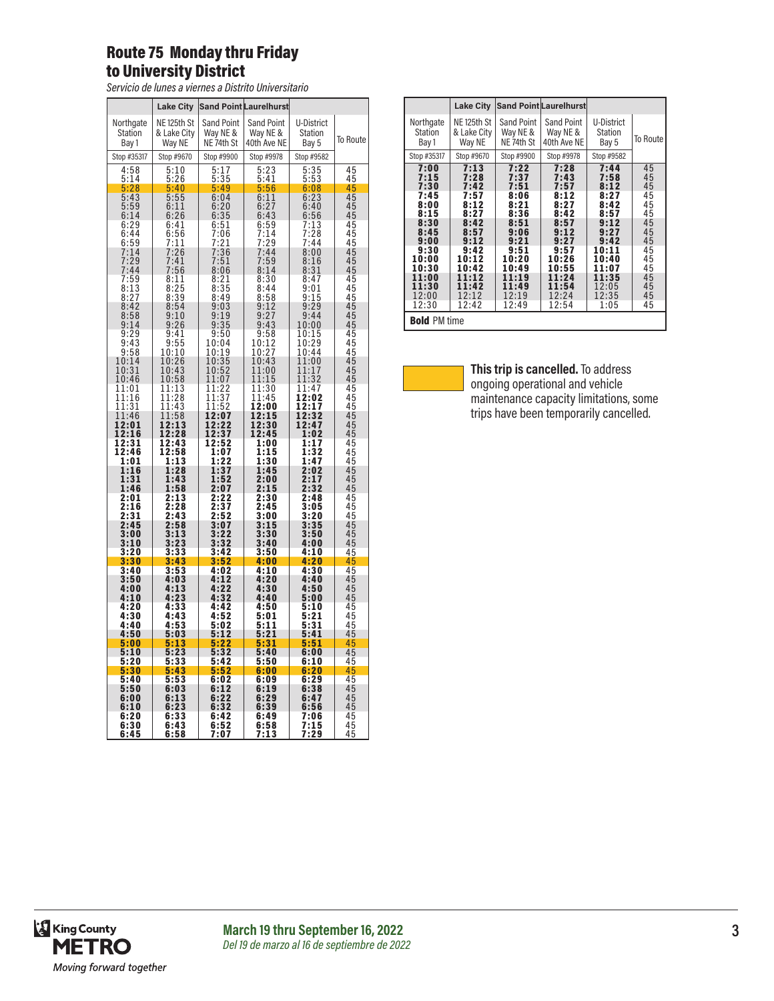#### Route 75 Monday thru Friday to University District

*Servicio de lunes a viernes a Distrito Universitario*

|                                                          | <b>Lake City</b>                                |                                                | <b>Sand Point Laurelhurst</b>         |                                       |                            |
|----------------------------------------------------------|-------------------------------------------------|------------------------------------------------|---------------------------------------|---------------------------------------|----------------------------|
| Northgate<br><b>Station</b><br>Bay 1                     | NE <sub>125th</sub> St<br>& Lake City<br>Way NE | <b>Sand Point</b><br>Way NE &<br>NE 74th St    | Sand Point<br>Way NE &<br>40th Ave NE | U-District<br><b>Station</b><br>Bay 5 | To Route                   |
| Stop #35317                                              | Stop #9670                                      | Stop #9900                                     | Stop #9978                            | Stop #9582                            |                            |
| 4:58                                                     | 5:10                                            | $\frac{5:17}{5:35}$                            | 5:23                                  | 5:35                                  | 45                         |
| 5:14                                                     | 5:26<br>5<br>:40                                | 5:49                                           | 5:41                                  | $\frac{5:53}{6:08}$<br>6:23           | 45                         |
| $\frac{5:28}{5:43}$                                      | $5:55$<br>$6:11$                                | 6:04                                           | $\frac{5:56}{6:11}$                   |                                       |                            |
| 5:59<br>6:14                                             | 6:26                                            | 6:20<br>6:35                                   | 6:27<br>6:43                          | 6:40<br>6:56                          |                            |
| 6:29                                                     | 6:41                                            | 6:51                                           | 6:59<br>7:14                          | 7:13                                  |                            |
| 6:44<br>6:59                                             | 6:56<br>7:11                                    | 7:06                                           | :29<br>7                              | 7:28<br>7:44                          |                            |
| 7:14                                                     | 26<br>7:                                        | 7:21<br>7:36<br>7:36                           | 7:44                                  | 8:00                                  |                            |
|                                                          | $7:41$<br>$7:56$<br>I                           | $7:51$<br>8:06                                 | $7:59$<br>$8:14$                      | $\frac{8:16}{8:31}$                   |                            |
| $7:29$<br>$7:44$<br>$7:59$<br>$8:13$<br>$8:27$<br>$9:42$ | $8:11$<br>$8:25$<br>$8:39$                      |                                                | $8:30$<br>$8:44$<br>$8:58$            | 8:47                                  |                            |
|                                                          |                                                 | $8:21$<br>$8:35$<br>$8:49$                     |                                       | $\frac{9:01}{9:15}$                   |                            |
| 8:42                                                     | $\frac{8:54}{9:10}$                             | 9:03                                           | 9:12                                  | 9:29                                  |                            |
| 8:58<br>9:14                                             | 9:26                                            | 9:19<br>9:35                                   | 9:27<br>9:43                          | 9:44<br>10:00                         |                            |
| 9:29                                                     | 9:41                                            | 9:50                                           |                                       |                                       |                            |
| 9:43                                                     | 9:55                                            | 10:04                                          | $\frac{9:58}{10:12}$                  | $\frac{10:15}{10:29}$                 |                            |
| 9:58                                                     | $10:10$<br>$10:26$                              | $\frac{10:19}{10:35}$<br>$\frac{10:35}{10:52}$ | $\frac{10:27}{10:43}$                 | 10:44<br>1:00<br>1                    |                            |
| $10:14$<br>$10:31$                                       | 10:4<br>3                                       |                                                | 11:00                                 | 11:17                                 |                            |
| 10:46<br>11:01                                           | 10:58<br>11:13                                  | 11:07<br>11:22                                 | 1<br>1:15<br>11:30                    | 32<br>11:<br>11:47                    |                            |
| $\begin{array}{c} 11:16 \\ 11:31 \end{array}$            | 11:28                                           | $\frac{11:37}{11:52}$                          | 11:45                                 | 12:02<br>12:17                        |                            |
| 11:46                                                    | $\overline{1}$<br>1:43<br>1:58<br>1             | $\frac{11.52}{12:07}$                          | 2:00<br>1<br>1<br>2:15                | 12:32                                 |                            |
| 12:01                                                    | 1<br>2:13                                       | 12:22                                          | 12:30                                 | 12:47                                 |                            |
| 12:16<br>12:31                                           | 2:28<br>1<br>12:43                              | 12:37<br>12:52                                 | 12:45<br>1:00                         | 1:02<br>1:17                          |                            |
| 12:46                                                    | 12:58                                           | 1:07                                           | 1:15                                  | 1:32                                  |                            |
| 1:01<br>1:16                                             | 1:13<br>1:28                                    | 1:22<br>1:37                                   | 1:30<br>1:45                          | 1:47<br>2:02                          |                            |
| 1:31                                                     | 1:43                                            | 1:52                                           | 2:00                                  | 2:17                                  |                            |
| 1:46<br>2:01                                             | 1:58<br>2:13                                    | 2:07<br>2:22                                   | 2:15<br>2:30                          | 2:32<br>2:48                          |                            |
| 2:16                                                     |                                                 | 7                                              | 2:45                                  | 3:05                                  |                            |
| $\bar{2}:\bar{3}1$                                       | $\frac{2:28}{2:43}$                             | $\frac{2:3}{2:5}$<br>$\overline{2}$            | $\frac{3:00}{3:15}$<br>$3:30$         | $\frac{3:20}{3:35}$                   |                            |
| 2:45<br>3:00                                             | 2:58<br>3:13                                    | 3:07<br>3:22                                   |                                       | 3:50                                  |                            |
| 3:10                                                     | 3:23                                            | 3:32                                           | 3:40                                  | 4:00                                  |                            |
| 3:20<br>3:30                                             | 3:33<br>3:43                                    | 3:42                                           | 3:50<br>4:00                          | 4:10                                  |                            |
| 3:40                                                     | 3:53                                            | $3:52$<br>$4:02$                               | 4:10                                  | 4:20<br>4:30                          |                            |
| 3:50<br>4:00                                             | 4:03                                            | 4:12                                           | 4:20<br>4:30                          | 4:40<br>4:50                          |                            |
| 4:10                                                     | $4:13$<br>$4:23$                                | $4:22$<br>$4:32$                               | 4:40                                  | 5:00                                  |                            |
| 4:20<br>4:30                                             | 4:33<br>4:43                                    | 4:42<br>4:52                                   | 4:50<br>5:01                          | 5:10<br>5:21                          |                            |
| 4:40                                                     | 4:53                                            | 5:02                                           | 5:11                                  | 5:31                                  |                            |
| 4:50<br>5:00                                             | 5:03<br>5:13                                    | 5:12<br>5:2<br>$\overline{2}$                  | 5:21<br>5:31                          | 5:41<br>5:51                          |                            |
| 5:10                                                     | 5:23                                            | 5:3<br>$\overline{2}$                          | 5:40                                  | 6:00                                  |                            |
| 5:20<br>5:30                                             | 5:33<br>5:43                                    | 5:42<br>5:52                                   | 5:50<br>6:00                          | 6:10<br>6:20                          | 45<br>45<br>45<br>45       |
| 5:40                                                     | 5:53                                            | 6:02                                           | 6:09                                  | 6:29                                  |                            |
| 5:50                                                     | 6:03<br>6:13                                    | 6:12<br>6:22                                   | 6:19                                  | 6:38<br>6:47                          |                            |
| 6:00<br>6:10                                             | 6:23                                            | 6:32                                           | 6:29<br>6:39                          | 6:56                                  | 45<br>45<br>45<br>45<br>45 |
| 6:20                                                     | 6:33                                            | 6:42                                           | 6:49                                  | 7:06                                  |                            |
| 6:30<br>6:45                                             | 6:43<br>6:58                                    | 6:52<br>7<br>7:0                               | 6:58<br>7:13                          | 7:15<br>7:29                          | 45<br>45                   |

| Northgate                                                                                                                                                 | NE 125th St                                                                                                                        |                                                                                                                                    |                                                                                                                                    |                                                                                                                                    |                                                                                              |
|-----------------------------------------------------------------------------------------------------------------------------------------------------------|------------------------------------------------------------------------------------------------------------------------------------|------------------------------------------------------------------------------------------------------------------------------------|------------------------------------------------------------------------------------------------------------------------------------|------------------------------------------------------------------------------------------------------------------------------------|----------------------------------------------------------------------------------------------|
| Station<br>Bay 1                                                                                                                                          | & Lake City<br>Way NE                                                                                                              | Sand Point<br>Way NE &<br>NE 74th St                                                                                               | <b>Sand Point</b><br>Way NE &<br>40th Ave NE                                                                                       | U-District<br>Station<br>Bay 5                                                                                                     | To Route                                                                                     |
| Stop #35317                                                                                                                                               | Stop #9670                                                                                                                         | Stop #9900                                                                                                                         | Stop #9978                                                                                                                         | Stop #9582                                                                                                                         |                                                                                              |
| 7:00<br>7:15<br>7:30<br>7:45<br>8:00<br>8:15<br>8:30<br>8:45<br>9:00<br>9:30<br>10:00<br>10:30<br>11:00<br>11:30<br>12:00<br>12:30<br><b>Bold PM time</b> | 7:13<br>7:28<br>7:42<br>7:57<br>8:12<br>8:27<br>8:42<br>8:57<br>9:12<br>9:42<br>10:12<br>10:42<br>11:12<br>11:42<br>12:12<br>12:42 | 7:22<br>7:37<br>7:51<br>8:06<br>8:21<br>8:36<br>8:51<br>9:06<br>9:21<br>9:51<br>10:20<br>10:49<br>11:19<br>11:49<br>12:19<br>12:49 | 7:28<br>7:43<br>7:57<br>8:12<br>8:27<br>8:42<br>8:57<br>9:12<br>9:27<br>9:57<br>10:26<br>10:55<br>11:24<br>11:54<br>12:24<br>12:54 | 7:44<br>7:58<br>8:12<br>8:27<br>8:42<br>8:57<br>9:12<br>9:27<br>9:42<br>10:11<br>10:40<br>11:07<br>11:35<br>12:05<br>12:35<br>1:05 | 45<br>45<br>45<br>45<br>45<br>45<br>45<br>45<br>45<br>45<br>45<br>45<br>45<br>45<br>45<br>45 |



**This trip is cancelled.** To address ongoing operational and vehicle maintenance capacity limitations, some trips have been temporarily cancelled.

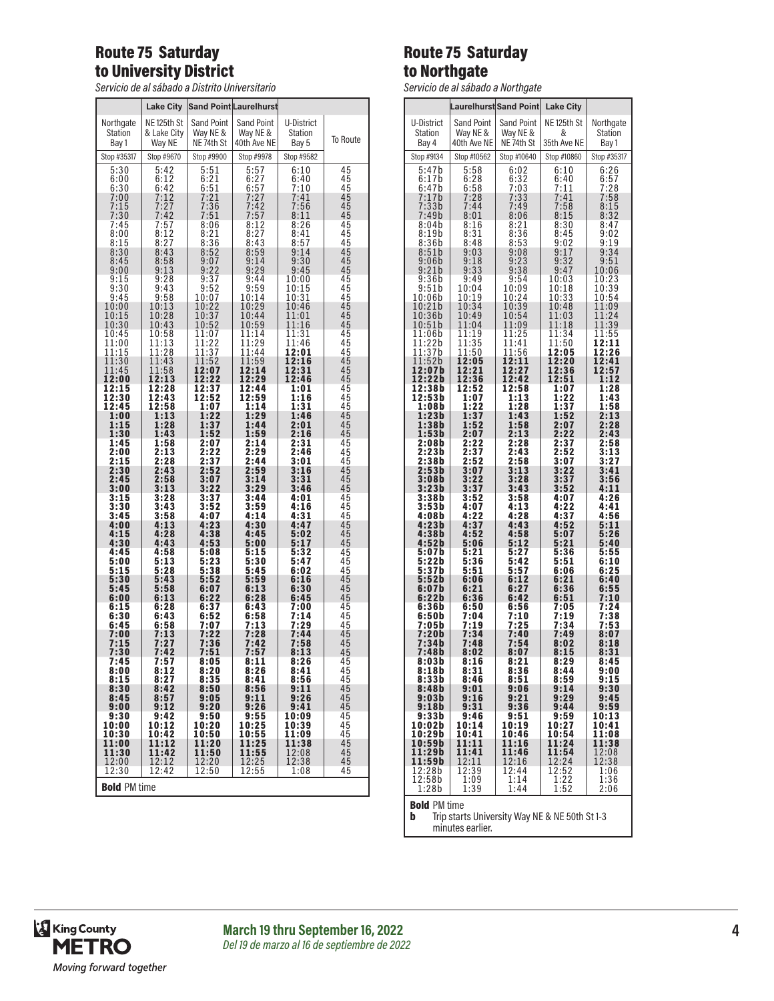### Route 75 Saturday to University District

*Servicio de al sábado a Distrito Universitario*

|                              | Lake City        |                   | <b>Sand Point Laurelhurst</b> |               |                 |
|------------------------------|------------------|-------------------|-------------------------------|---------------|-----------------|
| Northgate                    | NE 125th St      | <b>Sand Point</b> | Sand Point                    | U-District    |                 |
| Station                      | & Lake City      | Way NE &          | Way NE &                      | Station       |                 |
| Bay 1                        | Way NE           | NE 74th St        | 40th Ave NE                   | Bay 5         | To Route        |
| Stop #35317                  | Stop #9670       | Stop #9900        | Stop #9978                    | Stop #9582    | 45              |
| 5:30                         | 5:42             | 5:51              | 5:57                          | 6:10          |                 |
| 6:00                         | $6:12$<br>$6:42$ | 6:21              | $6:27$<br>$6:57$              | 6:40          | 45              |
| 6:30<br>7:00                 | 7:12             | 6:51<br>7:21      | 7:27                          | 7:10<br>7:41  | 45<br>45        |
| 7:15                         | 7:27             | 7:36              | 7:42                          | 7:56          | 45              |
| 7:30                         | 7:42             | 7:51              | 7:57                          | 8:11          | 45              |
| 7:45                         | $7:57$<br>8:12   | 8:06              | $8:12$<br>$8:27$              | 8:26          | $\frac{45}{45}$ |
| 8:00<br>8:15                 | 8:27             | 8:21<br>8:36      | 8:43                          | 8:41<br>8:57  | 45              |
| 8:30                         | 8:43             | 8:52              | 8:59                          | 9:14          | 45              |
| 8:45                         | 8:58             | 9:07              | 9:14                          | 9:30          | 45              |
| 9:00                         | 9:13             | 9:22              | 9:29                          | 9:45          | 45              |
| 9:15                         | 9:28             | 9:37              | 9:44                          | 10:00         | 45              |
| 9:30                         | 9:43             | 9:52              | 9:59                          | 10:15         | 45              |
| 9:45                         | 9:58             | 10:07             | 10:14                         | 10:31         | 45              |
| 10:00                        | 10:13            | 10:22             | 10:29                         | 10:46         | 45              |
| 10:15                        | 10:28            | 10:37             | 10:44                         | 11:01         | 45              |
| 10:30                        | 10:43            | 10:52             | 10:59                         | 11:16         | 45              |
| 10:45                        | 10:58            | 11:07             | 11:14                         | 11:31         | 45              |
| 11:00                        | 11:13            | 11:22             | 11:29                         | 11:46         | 45              |
| 11:15                        | 11:28            | 11:37             | 11:44                         | 12:01         | 45              |
| 11:30                        | 11:43            | 11:52             | 11:59                         | 12:16         |                 |
| 11:45                        | 11:58            | 12:07             | 12:14                         | 12:31         | $\frac{45}{45}$ |
| 12:00                        | 12:13            | 12:22             | 12:29                         | 12:46         | 45              |
| 12:15                        | 12:28            | 12:37             | 12:44                         | 1:01          | 45              |
| 12:30                        | 12:43            | 12:52             | 12:59                         | 1:16          | 45              |
| 12:45                        | 12:58            | 1:07              | 1:14                          | 1:31          | 45              |
| 1:00                         | 1:13             | 1:22              | 1:29                          | 1:46          | 45              |
| 1:15                         | 1:28             | 1:37              | 1:44                          | 2:01          | 45              |
| 1:30                         | 1:43             | 1:52              | 1:59                          | 2:16          | 45              |
| 1:45                         | 1:58             | 2:07              | 2:14                          | 2:31          | 45              |
| 2:00                         | 2:13             | 2:22              | 2:29                          | 2:46          | 45              |
| 2:15                         | 2:28             | 2:37              | 2:44                          | 3:01          | 45              |
| 2:30                         | 2:43             | 2:52              | 2:59                          | 3:16          | 45              |
| 2:45                         | 2:58             | 3:07              | 3:14                          | 3:31          | 45              |
| 3:00                         | 3:13             | 3:22              | 3:29                          | 3:46          | 45              |
| $3:15$<br>$3:30$             | 3:28             | 3:37              | 3:44                          | 4:01          | 45              |
| 3:45                         | 3:43             | 3:52              | 3:59                          | 4:16          | 45              |
|                              | 3:58             | 4:07              | 4:14                          | 4:31          | 45              |
| 4:00                         | 4:13             | 4:23              | 4:30                          | 4:47          | 45              |
| 4:15                         | 4:28             | 4:38              | 4:45                          | 5:02          | 45              |
| 4:30                         | 4:43             | 4:53              | 5:00                          | 5:17          | 45              |
| 4:45                         | 4:58             | 5:08              | 5:15                          | 5:32          | 45              |
| 5:00                         | 5:13             | 5:23              | 5:30                          | 5:47          | 45              |
| 5:15                         | 5:28             | 5:38              | 5:45                          | 6:02          | 45              |
| 5:30                         | 5:43             | 5:52              | 5:59                          | 6:16          | 45              |
| 5:45                         | 5:58             | 6:07              | 6:13                          | 6:30          | 45              |
| 6:00                         | 6:13             | 6:22              | 6:28                          | 6:45          | 45              |
| 6:15                         | 6:28             | 6:37              | 6:43                          | 7:00          | 45              |
| 6:30                         | 6:43             | 6:52              | 6:58                          | 7:14          | 45              |
| 6:45                         | 6:58             | 7:07              | 7:13                          | 7:29          | 45              |
| 7:00                         | 7:13             | 7:22              | 7:28                          | 7:44          | 45              |
| 7:15                         | 7:27             | 7:36              | 7:42                          | 7:58          | 45              |
| 7:30<br>7:45                 | 7:42             | 7:51              | 7:57                          | 8:13          | 45              |
| 8:00                         | 7:57             | 8:05              | 8:11                          | 8:26          | 45              |
|                              | 8:12             | 8:20              | 8:26                          | 8:41          | 45              |
| $8:15$<br>$8:30$             | 8:27             | 8:35              | 8:41                          | 8:56          | 45              |
|                              | 8:42             | 8:50              | 8:56                          | 9:11          | 45              |
| 8:45                         | 8:57             | 9:05              | 9:11                          | 9:26          | 45              |
| 9:00                         | 9:12             | 9:20              |                               | 9:41          | 45              |
| 9:30                         | 9:42             | 9:50              | $9:26$<br>$9:55$              | 10:09         | 45              |
| 10:00                        | 10:12            | 10:20             | 10:25                         | 10:39         | 45              |
| 10:30                        | 10:42            | 10:50             | 10:55                         | 11:09         | 45              |
| 11:00                        | 11:12            | 11:20             | 11:25                         | 11:38         | 45              |
| 11:30                        | 11:42            | 11:50             | 11:55                         | 12:08         | 45              |
| 12:00                        | 12:12<br>12:42   | 12:20<br>12:50    | 12:25                         | 12:38<br>1:08 | 45<br>45        |
| 12:30<br><b>Bold PM time</b> |                  |                   | 12:55                         |               |                 |

### Route 75 Saturday to Northgate

*Servicio de al sábado a Northgate*

|                          |                               | Laurelhurst Sand Point        | <b>Lake City</b>  |                                      |
|--------------------------|-------------------------------|-------------------------------|-------------------|--------------------------------------|
|                          |                               |                               |                   |                                      |
| U-District<br>Station    | <b>Sand Point</b><br>Way NE & | <b>Sand Point</b><br>Way NE & | NE 125th St<br>&  | Northgate<br>Station                 |
| Bay 4                    | 40th Ave NE                   | NE 74th St                    | 35th Ave NE       | Bay 1                                |
| Stop #9134               | Stop #10562                   | Stop #10640                   | Stop #10860       | Stop #35317                          |
| 5:47b                    | 5:58                          | 6:02                          | 6:10              | 6:26                                 |
| 6:17b<br>6:47b           | $6:28$<br>$6:58$              | $6:32$<br>$7:03$              | 6:40<br>7:11      | $6:57$<br>$7:28$<br>$7:58$<br>$8:15$ |
| 7:17b<br>7:33b           | 7:28                          | 7:33                          | 7:41              |                                      |
| 7:49b                    | 7:44<br>8:01                  | 7:49<br>8:06                  | 7:58<br>8:15      | 8:32                                 |
| 8:04b                    | 8:16                          | $8:21$<br>$8:36$              | 8:30              | 8:47                                 |
| 8:19b<br>8:36b           | 8:31<br>8:48                  | 8:53                          | 8:45<br>9:02      | 9:02<br>9:19                         |
| 8:51b                    | 9:03                          | 9:08                          | 9:17              | 9:34                                 |
| 9:06b<br>9:21b           | 9:18<br>9:33                  | 9:23<br>9:38                  | 9:32<br>9:47      | 9:51<br>10:06                        |
| 9:36b                    | 9:49                          | 9:54                          | 10:03             | 10:23                                |
| 9:51b<br>10:06b          | 10:04<br>10:19                | 10:09<br>10:24                | 10:18<br>10:33    | 10:39<br>10:54                       |
| 10:21b                   | 10:34                         | 10:39                         | 10:48             | 11:09                                |
| 10:36b<br>10:51b         | 10:49<br>11:04                | 10:54<br>11:09                | 11:03<br>11:18    | 11:24<br>11:39                       |
| 11:06b<br>$11:22\bar{b}$ | 11:19<br>11:35                | 11:25<br>11:41                | 11:34             | 11:55                                |
| 11:37b                   | 11:50                         | 11:56                         | 11:50<br>12:05    | 12:11<br>12:26                       |
| 11:52b<br>12:07b         | 12:05<br>2:21<br>1            | 12:11<br>12:27                | 12:20<br>12:36    | 12:41<br>12:57                       |
| 12:22b                   | 12:36                         | 12:42                         | 12:51             | 1:12                                 |
| 12:38b<br>12:53b         | 12:52<br>1:07                 | 12:58<br>1:13                 | 1:07<br>1:22      | 1:28<br>1:43                         |
| 1:08b                    | 1:22                          | 1:28                          | 1:37              | 1:58                                 |
| 1:23b<br>1:38b           | 1:37<br>1:52                  | 1:43<br>1:58                  | 1:52<br>2:07      | 2:13<br>2:28                         |
| 1:53b                    | 2:07                          | 2:13                          | 2:22              | 2:43                                 |
| 2:08b<br>2:23 b          | 2:22<br>2:37                  | 2:28<br>2:43                  | 2:37<br>2:52      | 2:58<br>3:13                         |
| 2:38b                    | 2:52                          | 2:58                          | 3:07              | 3:27                                 |
| 2:53b<br>3:08b           | 3:07<br>3:22                  | 3:13<br>3:28                  | 3:22<br>3:37      | 3:41<br>3:56                         |
| 3:23b<br>3:38b           | 3:37<br>3:52                  | 3:43<br>3:58                  | 3:52<br>4:07      | 4:11<br>4:26                         |
| 3:53b                    | 4:07                          | 4:13                          | 4:22              | 4:41                                 |
| 4:08b<br>4:23b           | 4:22<br>4:37                  | 4:28<br>4:43                  | 4:37<br>4:52      | 4:56<br>5:11                         |
| 4:38b                    | 4:52                          | 4:58                          | 5:07              | 5:26                                 |
| 4:52b<br>5:07b           | 5:06<br>5:21                  | 5:12<br>5:27                  | 5:21<br>5:36      | 5:40<br>5:55                         |
| 5:22 b                   | 5:36                          | 5:42                          | 5:51              | 6:10                                 |
| 5:37b<br>5:52b           | 5:51<br>6:06                  | 5:57<br>6:12                  | 6:06<br>6:21      | 6:25<br>6:40                         |
| 6:07b                    | 6:21                          | 6:27                          | 6:36              | 6:55                                 |
| 6:22b<br>6:36b           | 6:36<br>6:50                  | 6:42<br>6:56                  | 6:51<br>7:05      | 7:10<br>7:24                         |
| 6:50b<br>7:05b           | 7:04<br>7:19                  | <u>7:10</u><br>7:25           | 7:19<br>7:34      | 7:38<br>7:53                         |
| 7:20b                    | 7:34                          | 7:40                          | 7:49              | 8:07                                 |
| 7:34b<br>7:48b           | 7:48<br>8:02                  | 7:54<br>8:07                  | 8:02<br>8:15      | 8:18<br>8:31                         |
| 8:03b                    | 8:16                          | 8:21                          | 8:29              | 8:45                                 |
| 8:18b<br>8:33b           | 8:31<br>8:46                  | 8:36<br>8:51                  | 8:44              | 9:00<br>9:15                         |
| 8:48b                    | 9:01                          | 9:06                          | $8:59$<br>9:14    | 9:30                                 |
| 9:03b<br>9:18b           | 9:16<br>9:31                  | 9:21<br>9:36                  | 9:29<br>9:44      | 9:45<br>9:59                         |
| 9:33b                    | 9:46                          | 9:51                          | 9:59              | 10:13                                |
| 10:02b<br>10:29b         | 10:14<br>10:41                | 10:19<br>10:46                | 10:27<br>10:54    | 10:41<br>11:08                       |
| 10:59b                   | 11:11<br>11:41                | 11:16                         | 11:24             | 11:38                                |
| 11:29b<br>11:59b         | 12:11                         | 11:46<br>12:16                | 11:54<br>12:24    | 12:08<br>12:38                       |
| 12:28b<br>12:58b         | 12:39<br>$\overline{1:09}$    | 12:44<br>1:14                 | 12:52<br>1:22     | 1:06<br>1:36                         |
| 1:28b                    | 1:39                          | 1:44                          | $\overline{1:52}$ | 2:06                                 |
|                          |                               |                               |                   |                                      |

**Bold** PM time<br>**b** Trip starts University Way NE & NE 50th St 1-3 minutes earlier.